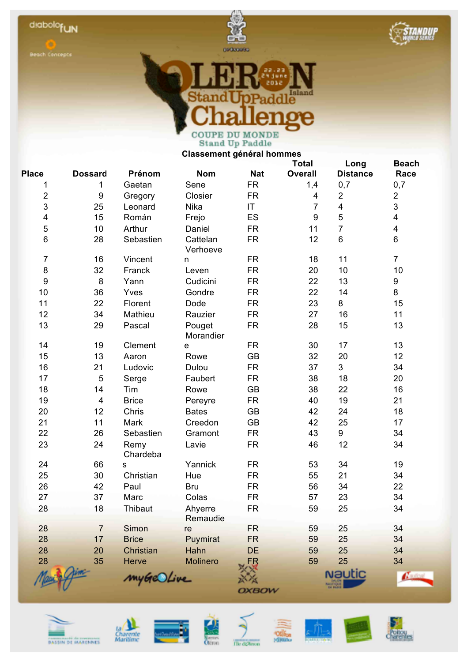



**CANDUP** 



**Classement général hommes**

|                  |                         |                  |                      |            | <b>Total</b>     | Long                           | <b>Beach</b>            |
|------------------|-------------------------|------------------|----------------------|------------|------------------|--------------------------------|-------------------------|
| <b>Place</b>     | <b>Dossard</b>          | Prénom           | <b>Nom</b>           | <b>Nat</b> | <b>Overall</b>   | <b>Distance</b>                | Race                    |
| 1                | 1                       | Gaetan           | Sene                 | <b>FR</b>  | 1,4              | 0,7                            | 0,7                     |
| $\mathbf 2$      | $\boldsymbol{9}$        | Gregory          | Closier              | <b>FR</b>  | 4                | $\overline{2}$                 | $\overline{2}$          |
| $\mathsf 3$      | 25                      | Leonard          | Nika                 | IT.        | $\overline{7}$   | $\overline{\mathbf{4}}$        | 3                       |
| 4                | 15                      | Román            | Frejo                | ES         | $\boldsymbol{9}$ | 5                              | $\overline{\mathbf{4}}$ |
| 5                | 10                      | Arthur           | Daniel               | <b>FR</b>  | 11               | $\overline{7}$                 | $\overline{\mathbf{4}}$ |
| 6                | 28                      | Sebastien        | Cattelan<br>Verhoeve | <b>FR</b>  | 12               | $6\phantom{a}$                 | 6                       |
| $\overline{7}$   | 16                      | Vincent          | n                    | <b>FR</b>  | 18               | 11                             | $\overline{7}$          |
| $\bf 8$          | 32                      | Franck           | Leven                | <b>FR</b>  | 20               | 10                             | 10                      |
| $\boldsymbol{9}$ | 8                       | Yann             | Cudicini             | <b>FR</b>  | 22               | 13                             | 9                       |
| 10               | 36                      | Yves             | Gondre               | <b>FR</b>  | 22               | 14                             | 8                       |
| 11               | 22                      | Florent          | Dode                 | <b>FR</b>  | 23               | 8                              | 15                      |
| 12               | 34                      | Mathieu          | Rauzier              | <b>FR</b>  | 27               | 16                             | 11                      |
| 13               | 29                      | Pascal           | Pouget<br>Morandier  | <b>FR</b>  | 28               | 15                             | 13                      |
| 14               | 19                      | Clement          | е                    | <b>FR</b>  | 30               | 17                             | 13                      |
| 15               | 13                      | Aaron            | Rowe                 | <b>GB</b>  | 32               | 20                             | 12                      |
| 16               | 21                      | Ludovic          | Dulou                | <b>FR</b>  | 37               | $\mathbf{3}$                   | 34                      |
| 17               | 5                       | Serge            | Faubert              | <b>FR</b>  | 38               | 18                             | 20                      |
| 18               | 14                      | Tim              | Rowe                 | <b>GB</b>  | 38               | 22                             | 16                      |
| 19               | $\overline{\mathbf{4}}$ | <b>Brice</b>     | Pereyre              | <b>FR</b>  | 40               | 19                             | 21                      |
| 20               | 12                      | Chris            | <b>Bates</b>         | <b>GB</b>  | 42               | 24                             | 18                      |
| 21               | 11                      | Mark             | Creedon              | <b>GB</b>  | 42               | 25                             | 17                      |
| 22               | 26                      | Sebastien        | Gramont              | <b>FR</b>  | 43               | 9                              | 34                      |
| 23               | 24                      | Remy<br>Chardeba | Lavie                | <b>FR</b>  | 46               | 12                             | 34                      |
| 24               | 66                      | S                | Yannick              | <b>FR</b>  | 53               | 34                             | 19                      |
| 25               | 30                      | Christian        | Hue                  | <b>FR</b>  | 55               | 21                             | 34                      |
| 26               | 42                      | Paul             | <b>Bru</b>           | <b>FR</b>  | 56               | 34                             | 22                      |
| 27               | 37                      | Marc             | Colas                | <b>FR</b>  | 57               | 23                             | 34                      |
| 28               | 18                      | Thibaut          | Ahyerre<br>Remaudie  | <b>FR</b>  | 59               | 25                             | 34                      |
| 28               | $\overline{7}$          | Simon            | re                   | <b>FR</b>  | 59               | 25                             | 34                      |
| 28               | 17                      | <b>Brice</b>     | Puymirat             | <b>FR</b>  | 59               | 25                             | 34                      |
| 28               | 20                      | Christian        | Hahn                 | <b>DE</b>  | 59               | 25                             | 34                      |
| 28               | 35                      | <b>Herve</b>     | <b>Molinero</b>      | FR         | 59               | 25                             | 34                      |
|                  |                         | myGeOLive        |                      | OXBOW      |                  | <b>Nautic</b><br><b>HITOUT</b> |                         |